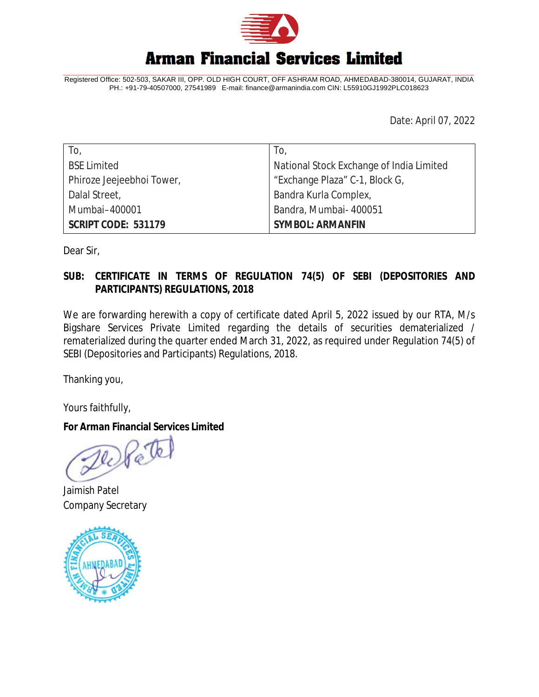

## **Arman Financial Services Limited**

Registered Office: 502-503, SAKAR III, OPP. OLD HIGH COURT, OFF ASHRAM ROAD, AHMEDABAD-380014, GUJARAT, INDIA PH.: +91-79-40507000, 27541989 E-mail: [finance@armanindia.com](mailto:finance@armanindia.com) CIN: L55910GJ1992PLC018623

Date: April 07, 2022

| To,                       | To,                                      |
|---------------------------|------------------------------------------|
| <b>BSE Limited</b>        | National Stock Exchange of India Limited |
| Phiroze Jeejeebhoi Tower, | "Exchange Plaza" C-1, Block G,           |
| Dalal Street,             | Bandra Kurla Complex,                    |
| Mumbai-400001             | Bandra, Mumbai- 400051                   |
| SCRIPT CODE: 531179       | <b>SYMBOL: ARMANFIN</b>                  |

Dear Sir,

## **SUB: CERTIFICATE IN TERMS OF REGULATION 74(5) OF SEBI (DEPOSITORIES AND PARTICIPANTS) REGULATIONS, 2018**

We are forwarding herewith a copy of certificate dated April 5, 2022 issued by our RTA, M/s Bigshare Services Private Limited regarding the details of securities dematerialized / rematerialized during the quarter ended March 31, 2022, as required under Regulation 74(5) of SEBI (Depositories and Participants) Regulations, 2018.

Thanking you,

Yours faithfully,

**For Arman Financial Services Limited**

Reto

Jaimish Patel Company Secretary